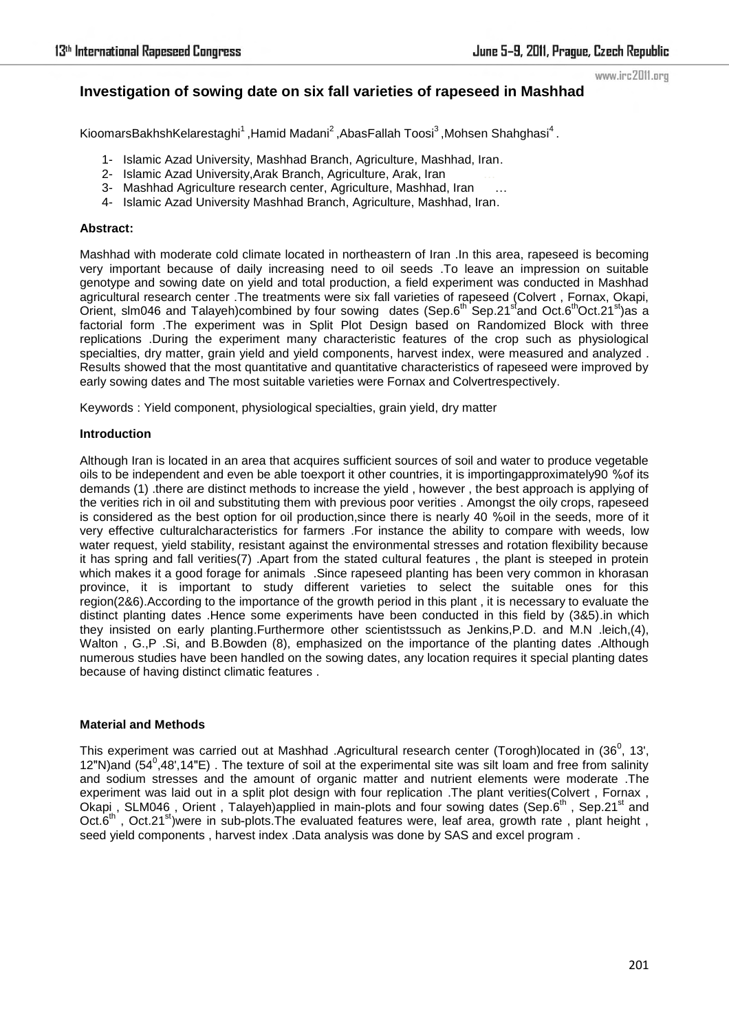www.irc2011.org

# **Investigation of sowing date on six fall varieties of rapeseed in Mashhad**

KioomarsBakhshKelarestaghi $^1$ ,Hamid Madani $^2$ ,AbasFallah Toosi $^3$ ,Mohsen Shahghasi $^4$  .

- 1- Islamic Azad University, Mashhad Branch, Agriculture, Mashhad, Iran.
- 2- Islamic Azad University,Arak Branch, Agriculture, Arak, Iran …
- 3- Mashhad Agriculture research center, Agriculture, Mashhad, Iran …
- 4- Islamic Azad University Mashhad Branch, Agriculture, Mashhad, Iran..

## **Abstract:**

Mashhad with moderate cold climate located in northeastern of Iran .In this area, rapeseed is becoming very important because of daily increasing need to oil seeds .To leave an impression on suitable genotype and sowing date on yield and total production, a field experiment was conducted in Mashhad agricultural research center .The treatments were six fall varieties of rapeseed (Colvert , Fornax, Okapi, Orient, slm046 and Talayeh)combined by four sowing dates (Sep.6<sup>th</sup> Sep.21<sup>st</sup>and Oct.6<sup>th</sup>Oct.21<sup>st</sup>)as a factorial form .The experiment was in Split Plot Design based on Randomized Block with three replications .During the experiment many characteristic features of the crop such as physiological specialties, dry matter, grain yield and yield components, harvest index, were measured and analyzed . Results showed that the most quantitative and quantitative characteristics of rapeseed were improved by early sowing dates and The most suitable varieties were Fornax and Colvertrespectively.

Keywords : Yield component, physiological specialties, grain yield, dry matter

#### **Introduction**

Although Iran is located in an area that acquires sufficient sources of soil and water to produce vegetable oils to be independent and even be able toexport it other countries, it is importingapproximately90 %of its demands (1) .there are distinct methods to increase the yield , however , the best approach is applying of the verities rich in oil and substituting them with previous poor verities . Amongst the oily crops, rapeseed is considered as the best option for oil production,since there is nearly 40 %oil in the seeds, more of it very effective culturalcharacteristics for farmers .For instance the ability to compare with weeds, low water request, yield stability, resistant against the environmental stresses and rotation flexibility because it has spring and fall verities(7) .Apart from the stated cultural features , the plant is steeped in protein which makes it a good forage for animals . Since rapeseed planting has been very common in khorasan province, it is important to study different varieties to select the suitable ones for this region(2&6).According to the importance of the growth period in this plant , it is necessary to evaluate the distinct planting dates .Hence some experiments have been conducted in this field by (3&5).in which they insisted on early planting.Furthermore other scientistssuch as Jenkins,P.D. and M.N .leich,(4), Walton , G.,P .Si, and B.Bowden (8), emphasized on the importance of the planting dates .Although numerous studies have been handled on the sowing dates, any location requires it special planting dates because of having distinct climatic features .

## **Material and Methods**

This experiment was carried out at Mashhad .Agricultural research center (Torogh)located in (36<sup>0</sup>, 13', 12"N)and  $(54^0,48',14"E)$ . The texture of soil at the experimental site was silt loam and free from salinity and sodium stresses and the amount of organic matter and nutrient elements were moderate .The experiment was laid out in a split plot design with four replication .The plant verities(Colvert , Fornax , Okapi, SLM046, Orient, Talayeh)applied in main-plots and four sowing dates (Sep.6<sup>th</sup>, Sep.21<sup>st</sup> and Oct.6<sup>th</sup>, Oct.21<sup>st</sup>)were in sub-plots. The evaluated features were, leaf area, growth rate, plant height, seed yield components , harvest index .Data analysis was done by SAS and excel program .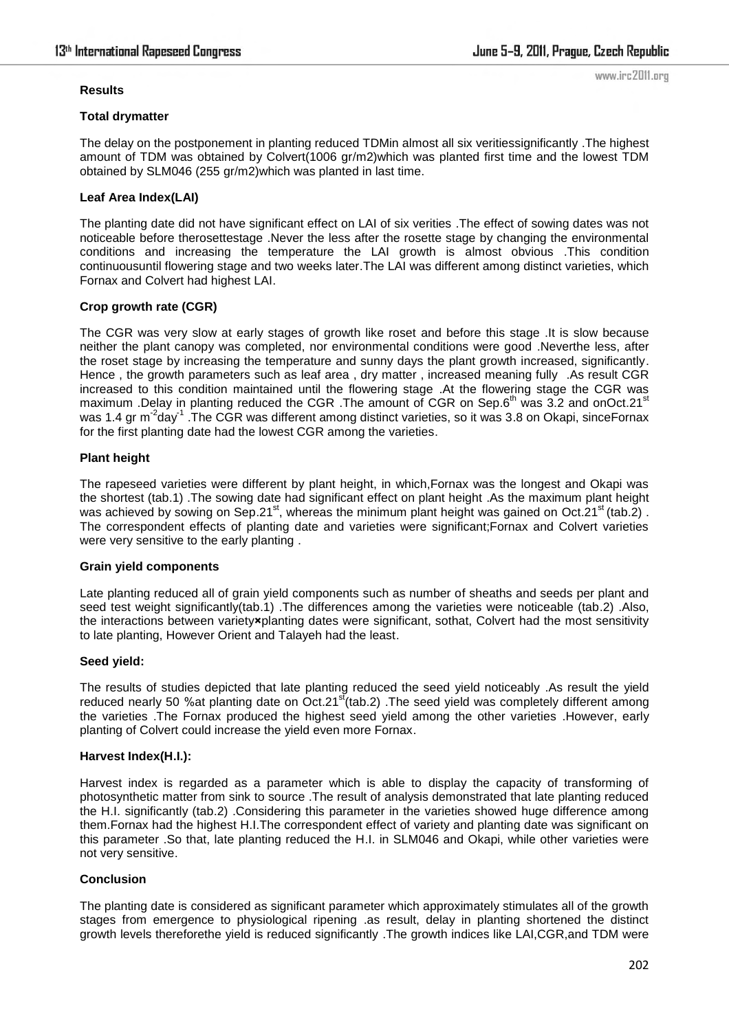www.irc2011.org

#### **Results**

#### **Total drymatter**

The delay on the postponement in planting reduced TDMin almost all six veritiessignificantly .The highest amount of TDM was obtained by Colvert(1006 gr/m2)which was planted first time and the lowest TDM obtained by SLM046 (255 gr/m2)which was planted in last time.

## **Leaf Area Index(LAI)**

The planting date did not have significant effect on LAI of six verities .The effect of sowing dates was not noticeable before therosettestage .Never the less after the rosette stage by changing the environmental conditions and increasing the temperature the LAI growth is almost obvious .This condition continuousuntil flowering stage and two weeks later.The LAI was different among distinct varieties, which Fornax and Colvert had highest LAI.

## **Crop growth rate (CGR)**

The CGR was very slow at early stages of growth like roset and before this stage .It is slow because neither the plant canopy was completed, nor environmental conditions were good .Neverthe less, after the roset stage by increasing the temperature and sunny days the plant growth increased, significantly. Hence , the growth parameters such as leaf area , dry matter , increased meaning fully .As result CGR increased to this condition maintained until the flowering stage .At the flowering stage the CGR was maximum .Delay in planting reduced the CGR .The amount of CGR on Sep.6<sup>th</sup> was 3.2 and onOct.21<sup>st</sup> was 1.4 gr m<sup>-2</sup>day<sup>-1</sup> .The CGR was different among distinct varieties, so it was 3.8 on Okapi, sinceFornax for the first planting date had the lowest CGR among the varieties.

## **Plant height**

The rapeseed varieties were different by plant height, in which,Fornax was the longest and Okapi was the shortest (tab.1) .The sowing date had significant effect on plant height .As the maximum plant height was achieved by sowing on Sep.21<sup>st</sup>, whereas the minimum plant height was gained on Oct.21<sup>st</sup> (tab.2). The correspondent effects of planting date and varieties were significant;Fornax and Colvert varieties were very sensitive to the early planting .

## **Grain yield components**

Late planting reduced all of grain yield components such as number of sheaths and seeds per plant and seed test weight significantly(tab.1) .The differences among the varieties were noticeable (tab.2) .Also, the interactions between variety**×**planting dates were significant, sothat, Colvert had the most sensitivity to late planting, However Orient and Talayeh had the least.

## **Seed yield:**

The results of studies depicted that late planting reduced the seed yield noticeably .As result the yield reduced nearly 50 % at planting date on Oct.21 $^{\text{st}}$ (tab.2) . The seed yield was completely different among the varieties .The Fornax produced the highest seed yield among the other varieties .However, early planting of Colvert could increase the yield even more Fornax.

## **Harvest Index(H.I.):**

Harvest index is regarded as a parameter which is able to display the capacity of transforming of photosynthetic matter from sink to source .The result of analysis demonstrated that late planting reduced the H.I. significantly (tab.2) .Considering this parameter in the varieties showed huge difference among them.Fornax had the highest H.I.The correspondent effect of variety and planting date was significant on this parameter .So that, late planting reduced the H.I. in SLM046 and Okapi, while other varieties were not very sensitive.

## **Conclusion**

The planting date is considered as significant parameter which approximately stimulates all of the growth stages from emergence to physiological ripening .as result, delay in planting shortened the distinct growth levels thereforethe yield is reduced significantly .The growth indices like LAI,CGR,and TDM were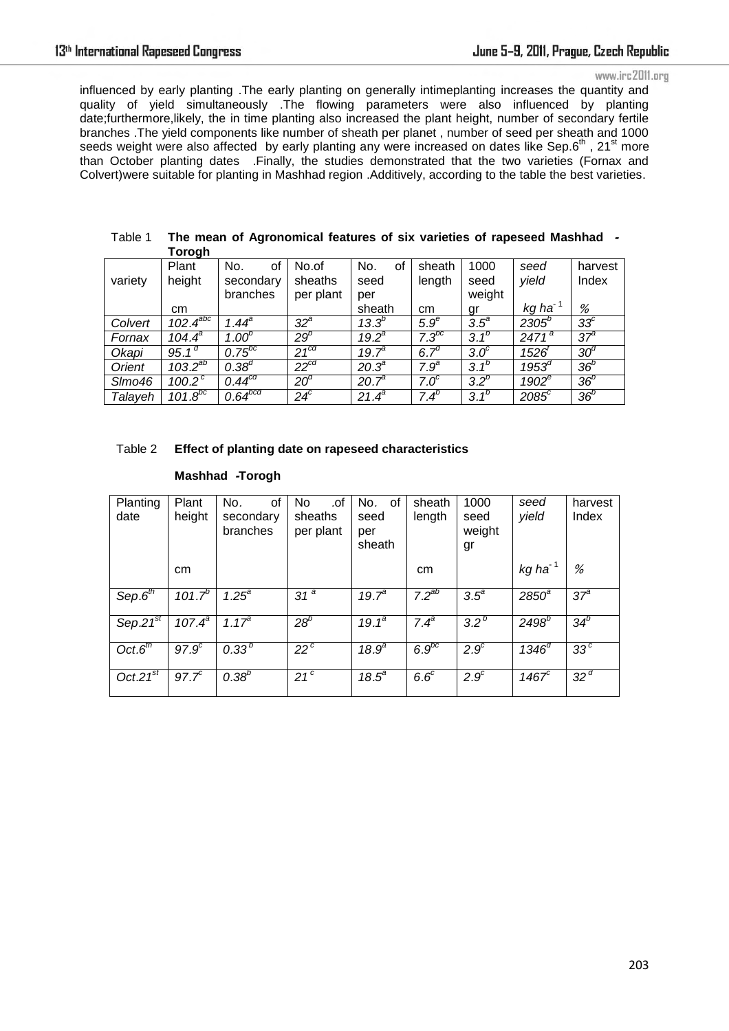www.irc2011.org

influenced by early planting .The early planting on generally intimeplanting increases the quantity and quality of yield simultaneously .The flowing parameters were also influenced by planting date;furthermore,likely, the in time planting also increased the plant height, number of secondary fertile branches .The yield components like number of sheath per planet , number of seed per sheath and 1000 seeds weight were also affected by early planting any were increased on dates like Sep.6<sup>th</sup>, 21<sup>st</sup> more than October planting dates .Finally, the studies demonstrated that the two varieties (Fornax and Colvert)were suitable for planting in Mashhad region .Additively, according to the table the best varieties.

|         | 1 J J J J 11       |                   |              |                |                  |                  |                       |                 |
|---------|--------------------|-------------------|--------------|----------------|------------------|------------------|-----------------------|-----------------|
|         | Plant              | No.<br>οf         | No.of        | No.<br>of      | sheath           | 1000             | seed                  | harvest         |
| variety | height             | secondary         | sheaths      | seed           | length           | seed             | yield                 | Index           |
|         |                    | branches          | per plant    | per            |                  | weight           |                       |                 |
|         | cm                 |                   |              | sheath         | cm               | gr               | $kg$ ha <sup>-1</sup> | %               |
| Colvert | $102.4^{abc}$      | $1.44^{\circ}$    | $32^{\circ}$ | $13.3^{b}$     | $5.9^\mathrm{e}$ | $3.5^{\circ}$    | $2305^{b}$            | 33 <sup>c</sup> |
| Fornax  | $104.4^{\circ}$    | 1.00 <sup>b</sup> | $29^b$       | $19.2^a$       | $7.3^{bc}$       | $3.1^{b}$        | $2471^a$              | 37 <sup>9</sup> |
| Okapi   | 95.1 <sup>d</sup>  | $0.75^{bc}$       | $21^{cd}$    | $19.7^{\circ}$ | 6.7 <sup>d</sup> | $3.0^\circ$      | 1526'                 | $30^{\circ}$    |
| Orient  | $103.2^{ab}$       | $0.38^{d}$        | $22^{cd}$    | $20.3^{a}$     | $7.9^{\circ}$    | $3.1^{b}$        | $1953^d$              | 36 <sup>b</sup> |
| SImo46  | 100.2 <sup>c</sup> | $0.44^{cd}$       | $20^{\circ}$ | $20.7^{a}$     | $7.0^\circ$      | 3.2 <sup>b</sup> | $1902^e$              | 36 <sup>b</sup> |
| Talayeh | $101.8^{bc}$       | $0.64^{bcd}$      | $24^c$       | $21.4^a$       | 7.4 <sup>b</sup> | 3.1 <sup>b</sup> | $2085^{\circ}$        | $36^b$          |

| Table 1 | The mean of Agronomical features of six varieties of rapeseed Mashhad - |  |
|---------|-------------------------------------------------------------------------|--|
|         | Torogh                                                                  |  |

## Table 2 **Effect of planting date on rapeseed characteristics**

| Mashhad -Torogh |  |
|-----------------|--|
|-----------------|--|

| Planting<br>date                     | Plant<br>height   | No.<br>0f<br>secondary<br>branches | .of<br>No.<br>sheaths<br>per plant | No.<br>0f<br>seed<br>per<br>sheath | sheath<br>length | 1000<br>seed<br>weight<br>gr | seed<br>yield       | harvest<br>Index |
|--------------------------------------|-------------------|------------------------------------|------------------------------------|------------------------------------|------------------|------------------------------|---------------------|------------------|
|                                      | cm                |                                    |                                    |                                    | cm               |                              | kg ha <sup>-1</sup> | %                |
| Sep.6 <sup>th</sup>                  | $101.7^{b}$       | $1.25^{\circ}$                     | 31 <sup>a</sup>                    | $19.7^{\circ}$                     | $7.2^{ab}$       | $3.5^{\circ}$                | $2850^{\circ}$      | 37 <sup>a</sup>  |
| Sep. $27^{st}$                       | $107.4^{a}$       | 1.17 <sup>a</sup>                  | $28^b$                             | $19.1^a$                           | $7.4^{\circ}$    | 3.2 <sup>b</sup>             | $2498^{b}$          | $34^b$           |
| Oct.6 <sup>th</sup>                  | 97.9 <sup>c</sup> | $0.33^{b}$                         | $22^{\circ}$                       | 18.9 <sup>a</sup>                  | $6.9^{bc}$       | $2.9^\circ$                  | $1346^{d}$          | 33 <sup>c</sup>  |
| Oct.2 $\overline{1}^{\overline{st}}$ | 97.7 <sup>c</sup> | $0.38^{b}$                         | $21^{\circ}$                       | $18.5^{\circ}$                     | 6.6 <sup>c</sup> | 2.9 <sup>c</sup>             | 1467 $\sigma$       | 32 <sup>d</sup>  |